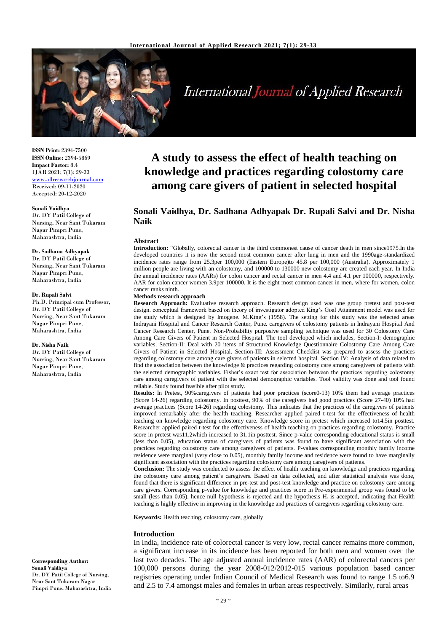

International Journal of Applied Research

**ISSN Print:** 2394-7500 **ISSN Online:** 2394-5869 **Impact Factor:** 8.4 IJAR 2021; 7(1): 29-33 <www.allresearchjournal.com> Received: 09-11-2020 Accepted: 20-12-2020

#### **Sonali Vaidhya**

Dr. DY Patil College of Nursing, Near Sant Tukaram Nagar Pimpri Pune, Maharashtra, India

#### **Dr. Sadhana Adhyapak**

Dr. DY Patil College of Nursing, Near Sant Tukaram Nagar Pimpri Pune, Maharashtra, India

#### **Dr. Rupali Salvi**

Ph.D. Principal cum Professor, Dr. DY Patil College of Nursing, Near Sant Tukaram Nagar Pimpri Pune, Maharashtra, India

#### **Dr. Nisha Naik**

Dr. DY Patil College of Nursing, Near Sant Tukaram Nagar Pimpri Pune, Maharashtra, India

**Corresponding Author: Sonali Vaidhya** Dr. DY Patil College of Nursing, Near Sant Tukaram Nagar Pimpri Pune, Maharashtra, India

# **A study to assess the effect of health teaching on knowledge and practices regarding colostomy care among care givers of patient in selected hospital**

# **Sonali Vaidhya, Dr. Sadhana Adhyapak Dr. Rupali Salvi and Dr. Nisha Naik**

#### **Abstract**

**Introduction:** "Globally, colorectal cancer is the third commonest cause of cancer death in men since1975.In the developed countries it is now the second most common cancer after lung in men and the 1990age-standardized incidence rates range from 25.3per 100,000 (Eastern Europe)to 45.8 per 100,000 (Australia). Approximately 1 million people are living with an colostomy, and 100000 to 130000 new colostomy are created each year. In India the annual incidence rates (AARs) for colon cancer and rectal cancer in men 4.4 and 4.1 per 100000, respectively. AAR for colon cancer women 3.9per 100000. It is the eight most common cancer in men, where for women, colon cancer ranks ninth.

#### **Methods research approach**

**Research Approach:** Evaluative research approach. Research design used was one group pretest and post-test design. conceptual framework based on theory of investigator adopted King's Goal Attainment model was used for the study which is designed by Imogene. M.King's (1958). The setting for this study was the selected areas Indrayani Hospital and Cancer Research Center, Pune. caregivers of colostomy patients in Indrayani Hospital And Cancer Research Center, Pune. Non-Probability purposive sampling technique was used for 30 Colostomy Care Among Care Givers of Patient in Selected Hospital. The tool developed which includes, Section-I: demographic variables, Section-II: Deal with 20 items of Structured Knowledge Questionnaire Colostomy Care Among Care Givers of Patient in Selected Hospital. Section-III: Assessment Checklist was prepared to assess the practices regarding colostomy care among care givers of patients in selected hospital. Section IV: Analysis of data related to find the association between the knowledge & practices regarding colostomy care among caregivers of patients with the selected demographic variables. Fisher's exact test for association between the practices regarding colostomy care among caregivers of patient with the selected demographic variables. Tool validity was done and tool found reliable. Study found feasible after pilot study.

**Results:** In Pretest, 90%caregivers of patients had poor practices (score0-13) 10% them had average practices (Score 14-26) regarding colostomy. In posttest, 90% of the caregivers had good practices (Score 27-40) 10% had average practices (Score 14-26) regarding colostomy. This indicates that the practices of the caregivers of patients improved remarkably after the health teaching. Researcher applied paired t-test for the effectiveness of health teaching on knowledge regarding colostomy care. Knowledge score in pretest which increased to14.5in posttest. Researcher applied paired t-test for the effectiveness of health teaching on practices regarding colostomy. Practice score in pretest was11.2which increased to 31.1in posttest. Since p-value corresponding educational status is small (less than 0.05), education status of caregivers of patients was found to have significant association with the practices regarding colostomy care among caregivers of patients. P-values corresponding monthly family income residence were marginal (very close to 0.05), monthly family income and residence were found to have marginally significant association with the practices regarding colostomy care among caregivers of patients.

**Conclusion:** The study was conducted to assess the effect of health teaching on knowledge and practices regarding the colostomy care among patient's caregivers. Based on data collected, and after statistical analysis was done, found that there is significant difference in pre-test and post-test knowledge and practice on colostomy care among care givers. Corresponding p-value for knowledge and practices score in Pre-experimental group was found to be small (less than 0.05), hence null hypothesis is rejected and the hypothesis  $H_1$  is accepted, indicating that Health teaching is highly effective in improving in the knowledge and practices of caregivers regarding colostomy care.

**Keywords:** Health teaching, colostomy care, globally

#### **Introduction**

In India, incidence rate of colorectal cancer is very low, rectal cancer remains more common, a significant increase in its incidence has been reported for both men and women over the last two decades. The age adjusted annual incidence rates (AAR) of colorectal cancers per 100,000 persons during the year 2008-012/2012-015 various population based cancer registries operating under Indian Council of Medical Research was found to range 1.5 to6.9 and 2.5 to 7.4 amongst males and females in urban areas respectively. Similarly, rural areas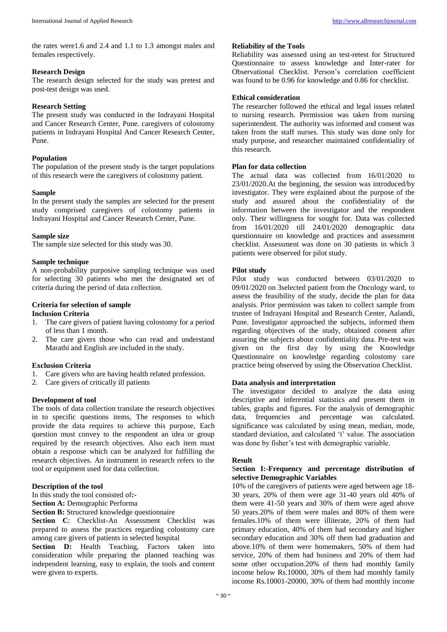the rates were1.6 and 2.4 and 1.1 to 1.3 amongst males and females respectively.

# **Research Design**

The research design selected for the study was pretest and post-test design was used.

# **Research Setting**

The present study was conducted in the Indrayani Hospital and Cancer Research Center, Pune. caregivers of colostomy patients in Indrayani Hospital And Cancer Research Center, Pune.

# **Population**

The population of the present study is the target populations of this research were the caregivers of colostomy patient.

# **Sample**

In the present study the samples are selected for the present study comprised caregivers of colostomy patients in Indrayani Hospital and Cancer Research Center, Pune.

# **Sample size**

The sample size selected for this study was 30.

# **Sample technique**

A non-probability purposive sampling technique was used for selecting 30 patients who met the designated set of criteria during the period of data collection.

# **Criteria for selection of sample**

# **Inclusion Criteria**

- 1. The care givers of patient having colostomy for a period of less than 1 month.
- 2. The care givers those who can read and understand Marathi and English are included in the study.

# **Exclusion Criteria**

- 1. Care givers who are having health related profession.
- 2. Care givers of critically ill patients

# **Development of tool**

The tools of data collection translate the research objectives in to specific questions items, The responses to which provide the data requires to achieve this purpose, Each question must convey to the respondent an idea or group required by the research objectives. Also each item must obtain a response which can be analyzed for fulfilling the research objectives. An instrument in research refers to the tool or equipment used for data collection.

# **Description of the tool**

In this study the tool consisted of**:-**

**Section A:** Demographic Performa

**Section B:** Structured knowledge questionnaire

**Section C**: Checklist-An Assessment Checklist was prepared to assess the practices regarding colostomy care among care givers of patients in selected hospital

**Section D:** Health Teaching, Factors taken into consideration while preparing the planned teaching was independent learning, easy to explain, the tools and content were given to experts.

#### **Reliability of the Tools**

Reliability was assessed using an test-retest for Structured Questionnaire to assess knowledge and Inter-rater for Observational Checklist. Person's correlation coefficient was found to be 0.96 for knowledge and 0.86 for checklist.

# **Ethical consideration**

The researcher followed the ethical and legal issues related to nursing research. Permission was taken from nursing superintendent. The authority was informed and consent was taken from the staff nurses. This study was done only for study purpose, and researcher maintained confidentiality of this research.

# **Plan for data collection**

The actual data was collected from 16/01/2020 to 23/01/2020.At the beginning, the session was introduced/by investigator. They were explained about the purpose of the study and assured about the confidentiality of the information between the investigator and the respondent only. Their willingness for sought for. Data was collected from 16/01/2020 till 24/01/2020 demographic data questionnaire on knowledge and practices and assessment checklist. Assessment was done on 30 patients in which 3 patients were observed for pilot study.

# **Pilot study**

Pilot study was conducted between 03/01/2020 to 09/01/2020 on 3selected patient from the Oncology ward, to assess the feasibility of the study, decide the plan for data analysis. Prior permission was taken to collect sample from trustee of Indrayani Hospital and Research Center, Aalandi, Pune. Investigator approached the subjects, informed them regarding objectives of the study, obtained consent after assuring the subjects about confidentiality data. Pre-test was given on the first day by using the Knowledge Questionnaire on knowledge regarding colostomy care practice being observed by using the Observation Checklist.

# **Data analysis and interpretation**

The investigator decided to analyze the data using descriptive and inferential statistics and present them in tables, graphs and figures. For the analysis of demographic data, frequencies and percentage was calculated. significance was calculated by using mean, median, mode, standard deviation, and calculated 't' value. The association was done by fisher's test with demographic variable.

# **Result**

#### S**ection I:-Frequency and percentage distribution of selective Demographic Variables**

10% of the caregivers of patients were aged between age 18- 30 years, 20% of them were age 31-40 years old 40% of them were 41-50 years and 30% of them were aged above 50 years.20% of them were males and 80% of them were females.10% of them were illiterate, 20% of them had primary education, 40% of them had secondary and higher secondary education and 30% off them had graduation and above.10% of them were homemakers, 50% of them had service, 20% of them had business and 20% of them had some other occupation.20% of them had monthly family income below Rs.10000, 30% of them had monthly family income Rs.10001-20000, 30% of them had monthly income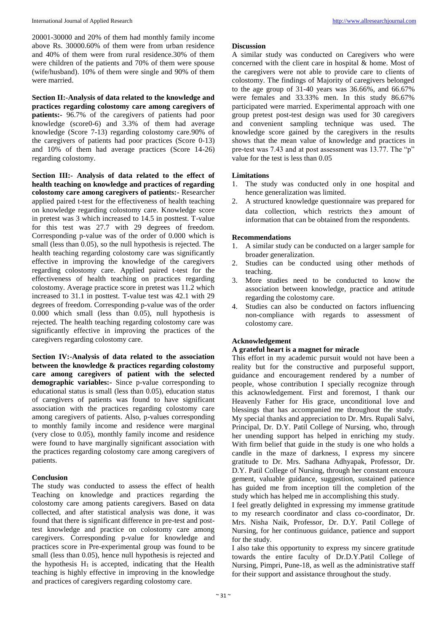International Journal of Applied Research [http://www.allresearchjournal.com](http://www.allresearchjournal.com/)

20001-30000 and 20% of them had monthly family income above Rs. 30000.60% of them were from urban residence and 40% of them were from rural residence.30% of them were children of the patients and 70% of them were spouse (wife/husband). 10% of them were single and 90% of them were married.

**Section II:-Analysis of data related to the knowledge and practices regarding colostomy care among caregivers of patients:-** 96.7% of the caregivers of patients had poor knowledge (score0-6) and 3.3% of them had average knowledge (Score 7-13) regarding colostomy care.90% of the caregivers of patients had poor practices (Score 0-13) and 10% of them had average practices (Score 14-26) regarding colostomy.

**Section III:- Analysis of data related to the effect of health teaching on knowledge and practices of regarding colostomy care among caregivers of patients:-** Researcher applied paired t-test for the effectiveness of health teaching on knowledge regarding colostomy care. Knowledge score in pretest was 3 which increased to 14.5 in posttest. T-value for this test was 27.7 with 29 degrees of freedom. Corresponding p-value was of the order of 0.000 which is small (less than 0.05), so the null hypothesis is rejected. The health teaching regarding colostomy care was significantly effective in improving the knowledge of the caregivers regarding colostomy care. Applied paired t-test for the effectiveness of health teaching on practices regarding colostomy. Average practice score in pretest was 11.2 which increased to 31.1 in posttest. T-value test was 42.1 with 29 degrees of freedom. Corresponding p-value was of the order 0.000 which small (less than 0.05), null hypothesis is rejected. The health teaching regarding colostomy care was significantly effective in improving the practices of the caregivers regarding colostomy care.

**Section IV:-Analysis of data related to the association between the knowledge & practices regarding colostomy care among caregivers of patient with the selected demographic variables:-** Since p-value corresponding to educational status is small (less than 0.05), education status of caregivers of patients was found to have significant association with the practices regarding colostomy care among caregivers of patients. Also, p-values corresponding to monthly family income and residence were marginal (very close to 0.05), monthly family income and residence were found to have marginally significant association with the practices regarding colostomy care among caregivers of patients.

# **Conclusion**

The study was conducted to assess the effect of health Teaching on knowledge and practices regarding the colostomy care among patients caregivers. Based on data collected, and after statistical analysis was done, it was found that there is significant difference in pre-test and posttest knowledge and practice on colostomy care among caregivers. Corresponding p-value for knowledge and practices score in Pre-experimental group was found to be small (less than 0.05), hence null hypothesis is rejected and the hypothesis  $H_1$  is accepted, indicating that the Health teaching is highly effective in improving in the knowledge and practices of caregivers regarding colostomy care.

#### **Discussion**

A similar study was conducted on Caregivers who were concerned with the client care in hospital & home. Most of the caregivers were not able to provide care to clients of colostomy. The findings of Majority of caregivers belonged to the age group of  $31-40$  years was  $36.66\%$ , and  $66.67\%$ were females and 33.33% men. In this study 86.67% participated were married. Experimental approach with one group pretest post-test design was used for 30 caregivers and convenient sampling technique was used. The knowledge score gained by the caregivers in the results shows that the mean value of knowledge and practices in pre-test was 7.43 and at post assessment was 13.77. The "p" value for the test is less than 0.05

# **Limitations**

- 1. The study was conducted only in one hospital and hence generalization was limited.
- 2. A structured knowledge questionnaire was prepared for data collection, which restricts the amount of information that can be obtained from the respondents.

# **Recommendations**

- 1. A similar study can be conducted on a larger sample for broader generalization.
- 2. Studies can be conducted using other methods of teaching.
- 3. More studies need to be conducted to know the association between knowledge, practice and attitude regarding the colostomy care.
- 4. Studies can also be conducted on factors influencing non-compliance with regards to assessment of colostomy care.

# **Acknowledgement**

# **A grateful heart is a magnet for miracle**

This effort in my academic pursuit would not have been a reality but for the constructive and purposeful support, guidance and encouragement rendered by a number of people, whose contribution I specially recognize through this acknowledgement. First and foremost, I thank our Heavenly Father for His grace, unconditional love and blessings that has accompanied me throughout the study. My special thanks and appreciation to Dr. Mrs. Rupali Salvi, Principal, Dr. D.Y. Patil College of Nursing, who, through her unending support has helped in enriching my study. With firm belief that guide in the study is one who holds a candle in the maze of darkness, I express my sincere gratitude to Dr. Mrs. Sadhana Adhyapak, Professor, Dr. D.Y. Patil College of Nursing, through her constant encoura gement, valuable guidance, suggestion, sustained patience has guided me from inception till the completion of the study which has helped me in accomplishing this study.

I feel greatly delighted in expressing my immense gratitude to my research coordinator and class co-coordinator, Dr. Mrs. Nisha Naik, Professor, Dr. D.Y. Patil College of Nursing, for her continuous guidance, patience and support for the study.

I also take this opportunity to express my sincere gratitude towards the entire faculty of Dr.D.Y.Patil College of Nursing, Pimpri, Pune-18, as well as the administrative staff for their support and assistance throughout the study.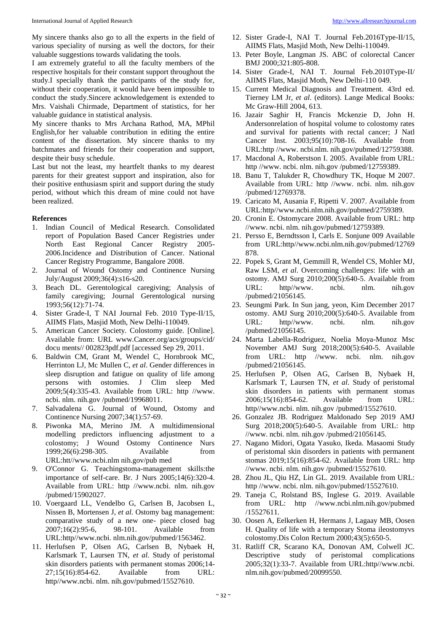My sincere thanks also go to all the experts in the field of various speciality of nursing as well the doctors, for their valuable suggestions towards validating the tools.

I am extremely grateful to all the faculty members of the respective hospitals for their constant support throughout the study.I specially thank the participants of the study for, without their cooperation, it would have been impossible to conduct the study.Sincere acknowledgement is extended to Mrs. Vaishali Chirmade, Department of statistics, for her valuable guidance in statistical analysis.

My sincere thanks to Mrs Archana Rathod, MA, MPhil English,for her valuable contribution in editing the entire content of the dissertation. My sincere thanks to my batchmates and friends for their cooperation and support, despite their busy schedule.

Last but not the least, my heartfelt thanks to my dearest parents for their greatest support and inspiration, also for their positive enthusiasm spirit and support during the study period, without which this dream of mine could not have been realized.

#### **References**

- 1. Indian Council of Medical Research. Consolidated report of Population Based Cancer Registries under North East Regional Cancer Registry 2005- 2006.Incidence and Distribution of Cancer. National Cancer Registry Programme, Bangalore 2008.
- 2. Journal of Wound Ostomy and Continence Nursing July/August 2009;36(4):s16-s20.
- 3. Beach DL. Gerentological caregiving; Analysis of family caregiving; Journal Gerentological nursing 1993;56(12):71-74.
- 4. Sister Grade-I, T NAI Journal Feb. 2010 Type-II/15, AIIMS Flats, Masjid Moth, New Delhi-110049.
- 5. American Cancer Society. Colostomy guide. [Online]. Available from: URL www.Cancer.org/acs/groups/cid/ docu ments// 002823pdf.pdf [accessed Sep 29, 2011.
- 6. Baldwin CM, Grant M, Wendel C, Hornbrook MC, Herrinton LJ, Mc Mullen C, *et al*. Gender differences in sleep disruption and fatigue on quality of life among persons with ostomies. J Clim sleep Med 2009;5(4):335-43. Available from URL: http //www. ncbi. nlm. nih.gov /pubmed/19968011.
- 7. Salvadalena G. Journal of Wound, Ostomy and Continence Nursing 2007;34(1):57-69.
- 8. Piwonka MA, Merino JM. A multidimensional modelling predictors influencing adjustment to a colostomy; J Wound Ostomy Continence Nurs 1999;26(6):298-305. Available from URL:htt//www.ncbi.nlm nih.gov/pub med
- 9. O'Connor G. Teachingstoma-management skills:the importance of self-care. Br. J Nurs 2005;14(6):320-4. Available from URL: http //www.ncbi. nlm. nih.gov /pubmed/15902027.
- 10. Voergaard LL, Vendelbo G, Carlsen B, Jacobsen L, Nissen B, Mortensen J, *et al.* Ostomy bag management: comparative study of a new one- piece closed bag 2007;16(2):95-6, 98-101. Available from URL:http//www.ncbi. nlm.nih.gov/pubmed/1563462.
- 11. Herlufsen P, Olsen AG, Carlsen B, Nybaek H, Karlsmark T, Laursen TN, *et al.* Study of peristomal skin disorders patients with permanent stomas 2006;14- 27;15(16):854-62. Available from URL: http//www.ncbi. nlm. nih.gov/pubmed/15527610.
- 12. Sister Grade-I, NAI T. Journal Feb.2016Type-II/15, AIIMS Flats, Masjid Moth, New Delhi-110049.
- 13. Peter Boyle, Langman JS. ABC of colorectal Cancer BMJ 2000;321:805-808.
- 14. Sister Grade-I, NAI T. Journal Feb.2010Type-II/ AIIMS Flats, Masjid Moth, New Delhi-110 049.
- 15. Current Medical Diagnosis and Treatment. 43rd ed. Tierney LM Jr, *et al*. (editors). Lange Medical Books: Mc Graw-Hill 2004, 613.
- 16. Jazair Saghir H, Francis Mckenzie D, John H. Andersonrelation of hospital volume to colostomy rates and survival for patients with rectal cancer; J Natl Cancer Inst. 2003;95(10):708-16. Available from URL:http //www. ncbi.nlm. nih.gov/pubmed/12759388.
- 17. Macdonal A, Roberstson I. 2005. Available from URL: http //www. ncbi. nlm. nih.gov /pubmed/12759389.
- 18. Banu T, Talukder R, Chowdhury TK, Hoque M 2007. Available from URL: http //www. ncbi. nlm. nih.gov /pubmed/12769378.
- 19. Caricato M, Ausania F, Ripetti V. 2007. Available from URL:http//www.ncbi.nlm.nih.gov/pubmed/2759389.
- 20. Cronin E. Ostomycare 2008. Available from URL: http //www. ncbi. nlm. nih.gov/pubmed/12759389.
- 21. Persso E, Berndtsson I, Carls E. Sonjune 009 Available from URL:http//www.ncbi.nlm.nih.gov/pubmed/12769 878.
- 22. Popek S, Grant M, Gemmill R, Wendel CS, Mohler MJ, Raw LSM, *et al*. Overcoming challenges: life with an ostomy. AMJ Surg 2010;200(5):640-5. Available from URL: http//www. ncbi. nlm. nih.gov /pubmed/21056145.
- 23. Seungmi Park. In Sun jang, yeon, Kim December 2017 ostomy. AMJ Surg 2010;200(5):640-5. Available from URL: http//www. ncbi. nlm. nih.gov /pubmed/21056145.
- 24. Marta Labella-Rodriguez, Noelia Moya-Munoz Msc November AMJ Surg 2018;200(5):640-5. Available from URL: http //www. ncbi. nlm. nih.gov /pubmed/21056145.
- 25. Herlufsen P, Olsen AG, Carlsen B, Nybaek H, Karlsmark T, Laursen TN, *et al*. Study of peristomal skin disorders in patients with permanent stomas 2006;15(16):854-62. Available from URL: http//www.ncbi. nlm. nih.gov /pubmed/15527610.
- 26. Gonzalez JB. Rodriguez Maldonado Sep 2019 AMJ Surg 2018;200(5):640-5. Available from URL: http //www. ncbi. nlm. nih.gov /pubmed/21056145.
- 27. Nagano Midori, Ogata Yasuko, Ikeda. Masaomi Study of peristomal skin disorders in patients with permanent stomas 2019;15(16):854-62. Available from URL: http //www. ncbi. nlm. nih.gov /pubmed/15527610.
- 28. Zhou JL, Qiu HZ, Lin GL. 2019. Available from URL: http //www. ncbi. nlm. nih.gov/pubmed/15527610.
- 29. Taneja C, Rolstand BS, Inglese G. 2019. Available from URL: http //www.ncbi.nlm.nih.gov/pubmed /15527611.
- 30. Oosen A, Eelkerken H, Hermans J, Lagaay MB, Oosen H. Quality of life with a temporary Stoma ileostomyvs colostomy.Dis Colon Rectum 2000;43(5):650-5.
- 31. Ratliff CR, Scarano KA, Donovan AM, Colwell JC. Descriptive study of peristomal complications 2005;32(1):33-7. Available from URL:http//www.ncbi. nlm.nih.gov/pubmed/20099550.